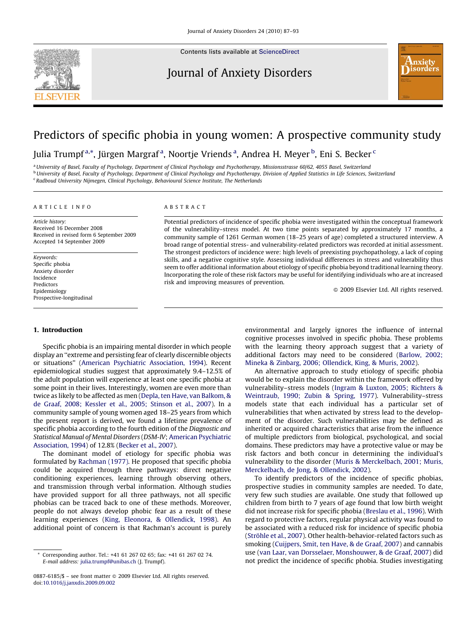

Contents lists available at [ScienceDirect](http://www.sciencedirect.com/science/journal/08876185)

# Journal of Anxiety Disorders



# Predictors of specific phobia in young women: A prospective community study

Julia Trumpf<sup>a,</sup>\*, Jürgen Margraf<sup>a</sup>, Noortje Vriends<sup>a</sup>, Andrea H. Meyer <sup>b</sup>, Eni S. Becker <sup>c</sup>

<sup>a</sup> University of Basel, Faculty of Psychology, Department of Clinical Psychology and Psychotherapy, Missionsstrasse 60/62, 4055 Basel, Switzerland **b University of Basel, Faculty of Psychology, Department of Clinical Psychology and Psychotherapy, Division of Applied Statistics in Life Sciences, Switzerland** <sup>c</sup> Radboud University Nijmegen, Clinical Psychology, Behavioural Science Institute, The Netherlands

# ARTICLE INFO

Article history: Received 16 December 2008 Received in revised form 6 September 2009 Accepted 14 September 2009

Keywords: Specific phobia Anxiety disorder Incidence Predictors Epidemiology Prospective-longitudinal

## 1. Introduction

Specific phobia is an impairing mental disorder in which people display an ''extreme and persisting fear of clearly discernible objects or situations'' ([American Psychiatric Association, 1994\)](#page--1-0). Recent epidemiological studies suggest that approximately 9.4–12.5% of the adult population will experience at least one specific phobia at some point in their lives. Interestingly, women are even more than twice as likely to be affected as men [\(Depla, ten Have, van Balkom, &](#page--1-0) [de Graaf, 2008; Kessler et al., 2005; Stinson et al., 2007](#page--1-0)). In a community sample of young women aged 18–25 years from which the present report is derived, we found a lifetime prevalence of specific phobia according to the fourth edition of the Diagnostic and Statistical Manual of Mental Disorders (DSM-IV; [American Psychiatric](#page--1-0) [Association, 1994\)](#page--1-0) of 12.8% ([Becker et al., 2007](#page--1-0)).

The dominant model of etiology for specific phobia was formulated by [Rachman \(1977\).](#page--1-0) He proposed that specific phobia could be acquired through three pathways: direct negative conditioning experiences, learning through observing others, and transmission through verbal information. Although studies have provided support for all three pathways, not all specific phobias can be traced back to one of these methods. Moreover, people do not always develop phobic fear as a result of these learning experiences [\(King, Eleonora, & Ollendick, 1998\)](#page--1-0). An additional point of concern is that Rachman's account is purely

# ABSTRACT

Potential predictors of incidence of specific phobia were investigated within the conceptual framework of the vulnerability–stress model. At two time points separated by approximately 17 months, a community sample of 1261 German women (18–25 years of age) completed a structured interview. A broad range of potential stress- and vulnerability-related predictors was recorded at initial assessment. The strongest predictors of incidence were: high levels of preexisting psychopathology, a lack of coping skills, and a negative cognitive style. Assessing individual differences in stress and vulnerability thus seem to offer additional information about etiology of specific phobia beyond traditional learning theory. Incorporating the role of these risk factors may be useful for identifying individuals who are at increased risk and improving measures of prevention.

 $\odot$  2009 Elsevier Ltd. All rights reserved.

environmental and largely ignores the influence of internal cognitive processes involved in specific phobia. These problems with the learning theory approach suggest that a variety of additional factors may need to be considered ([Barlow, 2002;](#page--1-0) [Mineka & Zinbarg, 2006; Ollendick, King, & Muris, 2002](#page--1-0)).

An alternative approach to study etiology of specific phobia would be to explain the disorder within the framework offered by vulnerability–stress models ([Ingram & Luxton, 2005; Richters &](#page--1-0) [Weintraub, 1990; Zubin & Spring, 1977\)](#page--1-0). Vulnerability–stress models state that each individual has a particular set of vulnerabilities that when activated by stress lead to the development of the disorder. Such vulnerabilities may be defined as inherited or acquired characteristics that arise from the influence of multiple predictors from biological, psychological, and social domains. These predictors may have a protective value or may be risk factors and both concur in determining the individual's vulnerability to the disorder [\(Muris & Merckelbach, 2001; Muris,](#page--1-0) [Merckelbach, de Jong, & Ollendick, 2002\)](#page--1-0).

To identify predictors of the incidence of specific phobias, prospective studies in community samples are needed. To date, very few such studies are available. One study that followed up children from birth to 7 years of age found that low birth weight did not increase risk for specific phobia ([Breslau et al., 1996](#page--1-0)). With regard to protective factors, regular physical activity was found to be associated with a reduced risk for incidence of specific phobia (Ströhle et al., 2007). Other health-behavior-related factors such as smoking [\(Cuijpers, Smit, ten Have, & de Graaf, 2007](#page--1-0)) and cannabis use ([van Laar, van Dorsselaer, Monshouwer, & de Graaf, 2007\)](#page--1-0) did not predict the incidence of specific phobia. Studies investigating

Corresponding author. Tel.: +41 61 267 02 65; fax: +41 61 267 02 74. E-mail address: [julia.trumpf@unibas.ch](mailto:julia.trumpf@unibas.ch) (J. Trumpf).

<sup>0887-6185/\$ –</sup> see front matter © 2009 Elsevier Ltd. All rights reserved. doi:[10.1016/j.janxdis.2009.09.002](http://dx.doi.org/10.1016/j.janxdis.2009.09.002)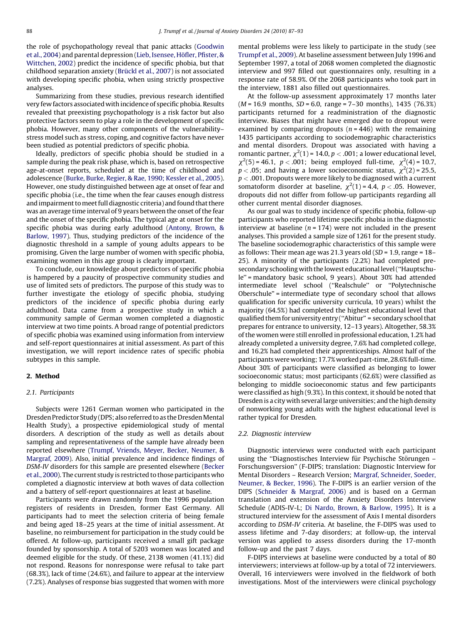the role of psychopathology reveal that panic attacks [\(Goodwin](#page--1-0) [et al., 2004\)](#page--1-0) and parental depression (Lieb, Isensee, Höfler, Pfister, & [Wittchen, 2002\)](#page--1-0) predict the incidence of specific phobia, but that childhood separation anxiety (Brü[ckl et al., 2007](#page--1-0)) is not associated with developing specific phobia, when using strictly prospective analyses.

Summarizing from these studies, previous research identified very few factors associated with incidence of specific phobia. Results revealed that preexisting psychopathology is a risk factor but also protective factors seem to play a role in the development of specific phobia. However, many other components of the vulnerability– stress model such as stress, coping, and cognitive factors have never been studied as potential predictors of specific phobia.

Ideally, predictors of specific phobia should be studied in a sample during the peak risk phase, which is, based on retrospective age-at-onset reports, scheduled at the time of childhood and adolescence ([Burke, Burke, Regier, & Rae, 1990; Kessler et al., 2005\)](#page--1-0). However, one study distinguished between age at onset of fear and specific phobia (i.e., the time when the fear causes enough distress and impairment to meet full diagnostic criteria) and found that there was an average time interval of 9 years between the onset of the fear and the onset of the specific phobia. The typical age at onset for the specific phobia was during early adulthood [\(Antony, Brown, &](#page--1-0) [Barlow, 1997\)](#page--1-0). Thus, studying predictors of the incidence of the diagnostic threshold in a sample of young adults appears to be promising. Given the large number of women with specific phobia, examining women in this age group is clearly important.

To conclude, our knowledge about predictors of specific phobia is hampered by a paucity of prospective community studies and use of limited sets of predictors. The purpose of this study was to further investigate the etiology of specific phobia, studying predictors of the incidence of specific phobia during early adulthood. Data came from a prospective study in which a community sample of German women completed a diagnostic interview at two time points. A broad range of potential predictors of specific phobia was examined using information from interview and self-report questionnaires at initial assessment. As part of this investigation, we will report incidence rates of specific phobia subtypes in this sample.

## 2. Method

## 2.1. Participants

Subjects were 1261 German women who participated in the Dresden Predictor Study (DPS; also referred to as the Dresden Mental Health Study), a prospective epidemiological study of mental disorders. A description of the study as well as details about sampling and representativeness of the sample have already been reported elsewhere ([Trumpf, Vriends, Meyer, Becker, Neumer, &](#page--1-0) [Margraf, 2009\)](#page--1-0). Also, initial prevalence and incidence findings of DSM-IV disorders for this sample are presented elsewhere ([Becker](#page--1-0) [et al., 2000](#page--1-0)). The current study is restricted to those participants who completed a diagnostic interview at both waves of data collection and a battery of self-report questionnaires at least at baseline.

Participants were drawn randomly from the 1996 population registers of residents in Dresden, former East Germany. All participants had to meet the selection criteria of being female and being aged 18–25 years at the time of initial assessment. At baseline, no reimbursement for participation in the study could be offered. At follow-up, participants received a small gift package founded by sponsorship. A total of 5203 women was located and deemed eligible for the study. Of these, 2138 women (41.1%) did not respond. Reasons for nonresponse were refusal to take part (68.3%), lack of time (24.6%), and failure to appear at the interview (7.2%). Analyses of response bias suggested that women with more mental problems were less likely to participate in the study (see [Trumpf et al., 2009](#page--1-0)). At baseline assessment between July 1996 and September 1997, a total of 2068 women completed the diagnostic interview and 997 filled out questionnaires only, resulting in a response rate of 58.9%. Of the 2068 participants who took part in the interview, 1881 also filled out questionnaires.

At the follow-up assessment approximately 17 months later  $(M = 16.9 \text{ months}, SD = 6.0, range = 7-30 \text{ months}, 1435 (76.3%)$ participants returned for a readministration of the diagnostic interview. Biases that might have emerged due to dropout were examined by comparing dropouts  $(n = 446)$  with the remaining 1435 participants according to sociodemographic characteristics and mental disorders. Dropout was associated with having a romantic partner,  $\chi^2(1)$  = 14.0,  $p < .001$ ; a lower educational level,  $\chi^2(5) = 46.1$ ,  $p < .001$ ; being employed full-time,  $\chi^2(4) = 10.7$ ,  $p < .05$ ; and having a lower socioeconomic status,  $\chi^2(2)$  = 25.5,  $p < .001$ . Dropouts were more likely to be diagnosed with a current somatoform disorder at baseline,  $\chi^2(1)$  = 4.4,  $p < .05$ . However, dropouts did not differ from follow-up participants regarding all other current mental disorder diagnoses.

As our goal was to study incidence of specific phobia, follow-up participants who reported lifetime specific phobia in the diagnostic interview at baseline ( $n = 174$ ) were not included in the present analyses. This provided a sample size of 1261 for the present study. The baseline sociodemographic characteristics of this sample were as follows: Their mean age was 21.3 years old ( $SD = 1.9$ , range =  $18-$ 25). A minority of the participants (2.2%) had completed presecondary schooling with the lowest educational level (''Hauptschule'' = mandatory basic school, 9 years). About 30% had attended intermediate level school (''Realschule'' or ''Polytechnische Oberschule'' = intermediate type of secondary school that allows qualification for specific university curricula, 10 years) whilst the majority (64.5%) had completed the highest educational level that qualified them for university entry (''Abitur'' = secondary school that prepares for entrance to university, 12–13 years). Altogether, 58.3% of the women were still enrolled in professional education, 1.2% had already completed a university degree, 7.6% had completed college, and 16.2% had completed their apprenticeships. Almost half of the participants wereworking; 17.7% worked part-time, 28.6% full-time. About 30% of participants were classified as belonging to lower socioeconomic status; most participants (62.6%) were classified as belonging to middle socioeconomic status and few participants were classified as high (9.3%). In this context, it should be noted that Dresden is a city with several large universities; and the high density of nonworking young adults with the highest educational level is rather typical for Dresden.

## 2.2. Diagnostic interview

Diagnostic interviews were conducted with each participant using the "Diagnostisches Interview für Psychische Störungen – Forschungsversion'' (F-DIPS; translation: Diagnostic Interview for Mental Disorders – Research Version; [Margraf, Schneider, Soeder,](#page--1-0) [Neumer, & Becker, 1996](#page--1-0)). The F-DIPS is an earlier version of the DIPS ([Schneider & Margraf, 2006](#page--1-0)) and is based on a German translation and extension of the Anxiety Disorders Interview Schedule (ADIS-IV-L; [Di Nardo, Brown, & Barlow, 1995](#page--1-0)). It is a structured interview for the assessment of Axis I mental disorders according to DSM-IV criteria. At baseline, the F-DIPS was used to assess lifetime and 7-day disorders; at follow-up, the interval version was applied to assess disorders during the 17-month follow-up and the past 7 days.

F-DIPS interviews at baseline were conducted by a total of 80 interviewers; interviews at follow-up by a total of 72 interviewers. Overall, 16 interviewers were involved in the fieldwork of both investigations. Most of the interviewers were clinical psychology